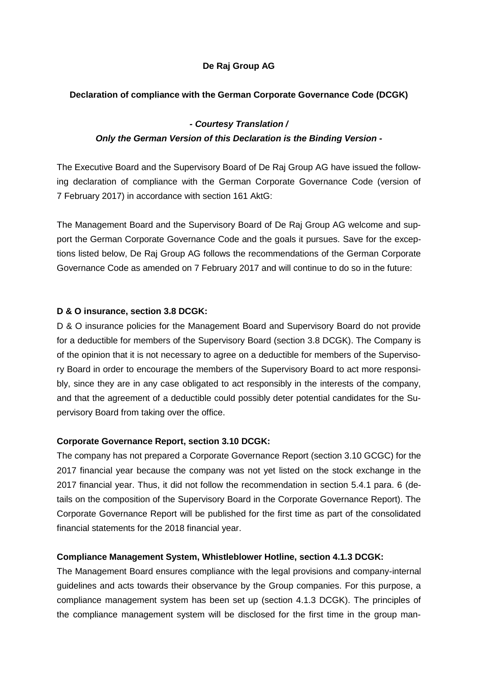## **De Raj Group AG**

#### **Declaration of compliance with the German Corporate Governance Code (DCGK)**

### *- Courtesy Translation /*

### *Only the German Version of this Declaration is the Binding Version -*

The Executive Board and the Supervisory Board of De Raj Group AG have issued the following declaration of compliance with the German Corporate Governance Code (version of 7 February 2017) in accordance with section 161 AktG:

The Management Board and the Supervisory Board of De Raj Group AG welcome and support the German Corporate Governance Code and the goals it pursues. Save for the exceptions listed below, De Raj Group AG follows the recommendations of the German Corporate Governance Code as amended on 7 February 2017 and will continue to do so in the future:

#### **D & O insurance, section 3.8 DCGK:**

D & O insurance policies for the Management Board and Supervisory Board do not provide for a deductible for members of the Supervisory Board (section 3.8 DCGK). The Company is of the opinion that it is not necessary to agree on a deductible for members of the Supervisory Board in order to encourage the members of the Supervisory Board to act more responsibly, since they are in any case obligated to act responsibly in the interests of the company, and that the agreement of a deductible could possibly deter potential candidates for the Supervisory Board from taking over the office.

#### **Corporate Governance Report, section 3.10 DCGK:**

The company has not prepared a Corporate Governance Report (section 3.10 GCGC) for the 2017 financial year because the company was not yet listed on the stock exchange in the 2017 financial year. Thus, it did not follow the recommendation in section 5.4.1 para. 6 (details on the composition of the Supervisory Board in the Corporate Governance Report). The Corporate Governance Report will be published for the first time as part of the consolidated financial statements for the 2018 financial year.

#### **Compliance Management System, Whistleblower Hotline, section 4.1.3 DCGK:**

The Management Board ensures compliance with the legal provisions and company-internal guidelines and acts towards their observance by the Group companies. For this purpose, a compliance management system has been set up (section 4.1.3 DCGK). The principles of the compliance management system will be disclosed for the first time in the group man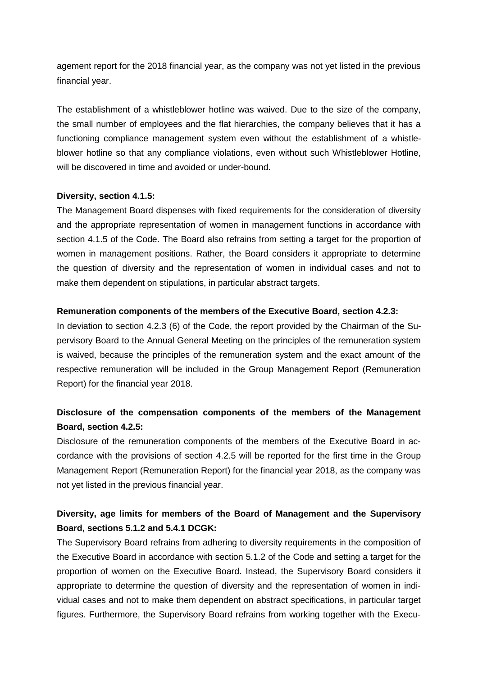agement report for the 2018 financial year, as the company was not yet listed in the previous financial year.

The establishment of a whistleblower hotline was waived. Due to the size of the company, the small number of employees and the flat hierarchies, the company believes that it has a functioning compliance management system even without the establishment of a whistleblower hotline so that any compliance violations, even without such Whistleblower Hotline, will be discovered in time and avoided or under-bound.

#### **Diversity, section 4.1.5:**

The Management Board dispenses with fixed requirements for the consideration of diversity and the appropriate representation of women in management functions in accordance with section 4.1.5 of the Code. The Board also refrains from setting a target for the proportion of women in management positions. Rather, the Board considers it appropriate to determine the question of diversity and the representation of women in individual cases and not to make them dependent on stipulations, in particular abstract targets.

#### **Remuneration components of the members of the Executive Board, section 4.2.3:**

In deviation to section 4.2.3 (6) of the Code, the report provided by the Chairman of the Supervisory Board to the Annual General Meeting on the principles of the remuneration system is waived, because the principles of the remuneration system and the exact amount of the respective remuneration will be included in the Group Management Report (Remuneration Report) for the financial year 2018.

# **Disclosure of the compensation components of the members of the Management Board, section 4.2.5:**

Disclosure of the remuneration components of the members of the Executive Board in accordance with the provisions of section 4.2.5 will be reported for the first time in the Group Management Report (Remuneration Report) for the financial year 2018, as the company was not yet listed in the previous financial year.

# **Diversity, age limits for members of the Board of Management and the Supervisory Board, sections 5.1.2 and 5.4.1 DCGK:**

The Supervisory Board refrains from adhering to diversity requirements in the composition of the Executive Board in accordance with section 5.1.2 of the Code and setting a target for the proportion of women on the Executive Board. Instead, the Supervisory Board considers it appropriate to determine the question of diversity and the representation of women in individual cases and not to make them dependent on abstract specifications, in particular target figures. Furthermore, the Supervisory Board refrains from working together with the Execu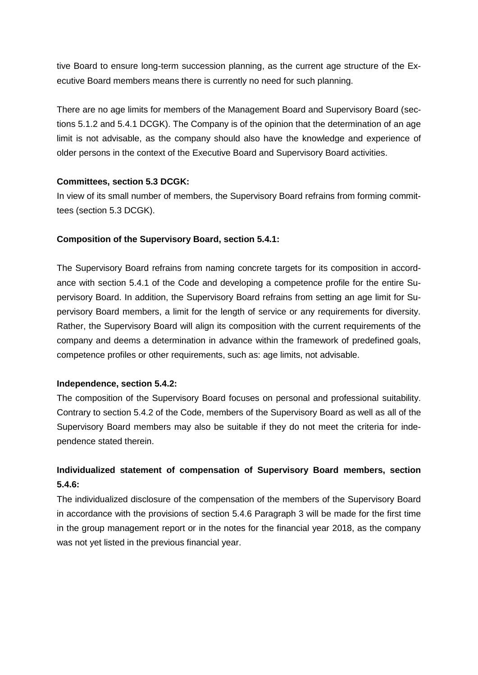tive Board to ensure long-term succession planning, as the current age structure of the Executive Board members means there is currently no need for such planning.

There are no age limits for members of the Management Board and Supervisory Board (sections 5.1.2 and 5.4.1 DCGK). The Company is of the opinion that the determination of an age limit is not advisable, as the company should also have the knowledge and experience of older persons in the context of the Executive Board and Supervisory Board activities.

## **Committees, section 5.3 DCGK:**

In view of its small number of members, the Supervisory Board refrains from forming committees (section 5.3 DCGK).

## **Composition of the Supervisory Board, section 5.4.1:**

The Supervisory Board refrains from naming concrete targets for its composition in accordance with section 5.4.1 of the Code and developing a competence profile for the entire Supervisory Board. In addition, the Supervisory Board refrains from setting an age limit for Supervisory Board members, a limit for the length of service or any requirements for diversity. Rather, the Supervisory Board will align its composition with the current requirements of the company and deems a determination in advance within the framework of predefined goals, competence profiles or other requirements, such as: age limits, not advisable.

## **Independence, section 5.4.2:**

The composition of the Supervisory Board focuses on personal and professional suitability. Contrary to section 5.4.2 of the Code, members of the Supervisory Board as well as all of the Supervisory Board members may also be suitable if they do not meet the criteria for independence stated therein.

# **Individualized statement of compensation of Supervisory Board members, section 5.4.6:**

The individualized disclosure of the compensation of the members of the Supervisory Board in accordance with the provisions of section 5.4.6 Paragraph 3 will be made for the first time in the group management report or in the notes for the financial year 2018, as the company was not yet listed in the previous financial year.